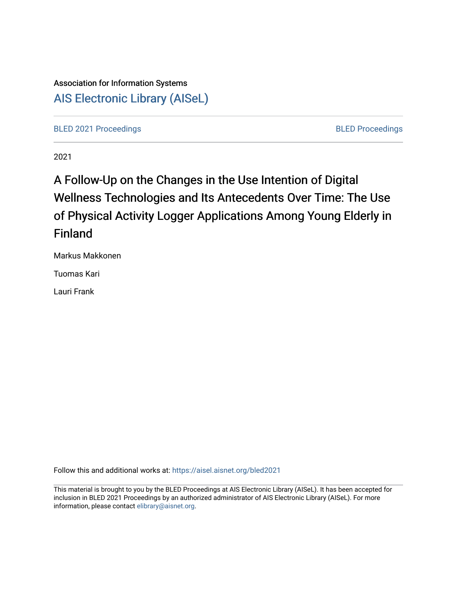# Association for Information Systems [AIS Electronic Library \(AISeL\)](https://aisel.aisnet.org/)

[BLED 2021 Proceedings](https://aisel.aisnet.org/bled2021) **BLED Proceedings** 

2021

# A Follow-Up on the Changes in the Use Intention of Digital Wellness Technologies and Its Antecedents Over Time: The Use of Physical Activity Logger Applications Among Young Elderly in Finland

Markus Makkonen

Tuomas Kari

Lauri Frank

Follow this and additional works at: [https://aisel.aisnet.org/bled2021](https://aisel.aisnet.org/bled2021?utm_source=aisel.aisnet.org%2Fbled2021%2F26&utm_medium=PDF&utm_campaign=PDFCoverPages) 

This material is brought to you by the BLED Proceedings at AIS Electronic Library (AISeL). It has been accepted for inclusion in BLED 2021 Proceedings by an authorized administrator of AIS Electronic Library (AISeL). For more information, please contact [elibrary@aisnet.org.](mailto:elibrary@aisnet.org%3E)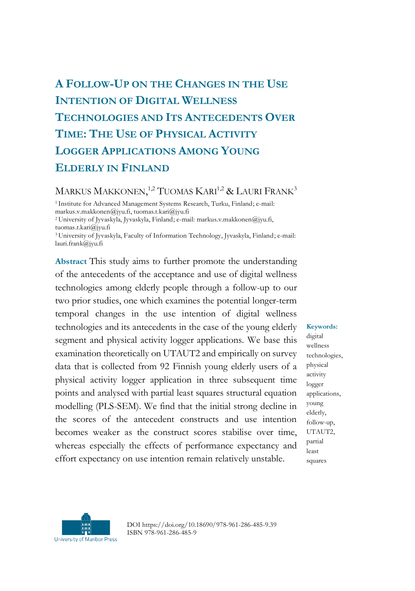# **A FOLLOW-UP ON THE CHANGES IN THE USE INTENTION OF DIGITAL WELLNESS TECHNOLOGIES AND ITS ANTECEDENTS OVER TIME: THE USE OF PHYSICAL ACTIVITY LOGGER APPLICATIONS AMONG YOUNG ELDERLY IN FINLAND**

# MARKUS MAKKONEN,<sup>1,2</sup> TUOMAS KARI<sup>1,2</sup> & LAURI FRANK<sup>3</sup>

<sup>1</sup>Institute for Advanced Management Systems Research, Turku, Finland; e-mail: markus.v.makkonen@jyu.fi, tuomas.t.kari@jyu.fi <sup>2</sup>University of Jyvaskyla, Jyvaskyla, Finland; e-mail: markus.v.makkonen@jyu.fi, tuomas.t.kari@jyu.fi <sup>3</sup>University of Jyvaskyla, Faculty of Information Technology, Jyvaskyla, Finland; e-mail: lauri.frank@jyu.fi

**Abstract** This study aims to further promote the understanding of the antecedents of the acceptance and use of digital wellness technologies among elderly people through a follow-up to our two prior studies, one which examines the potential longer-term temporal changes in the use intention of digital wellness technologies and its antecedents in the case of the young elderly segment and physical activity logger applications. We base this examination theoretically on UTAUT2 and empirically on survey data that is collected from 92 Finnish young elderly users of a physical activity logger application in three subsequent time points and analysed with partial least squares structural equation modelling (PLS-SEM). We find that the initial strong decline in the scores of the antecedent constructs and use intention becomes weaker as the construct scores stabilise over time, whereas especially the effects of performance expectancy and effort expectancy on use intention remain relatively unstable.

digital wellness technologies,

**Keywords:**

physical activity logger applications, young elderly, follow-up, UTAUT2, partial least squares



DOI https://doi.org/10.18690/978-961-286-485-9.39 ISBN 978-961-286-485-9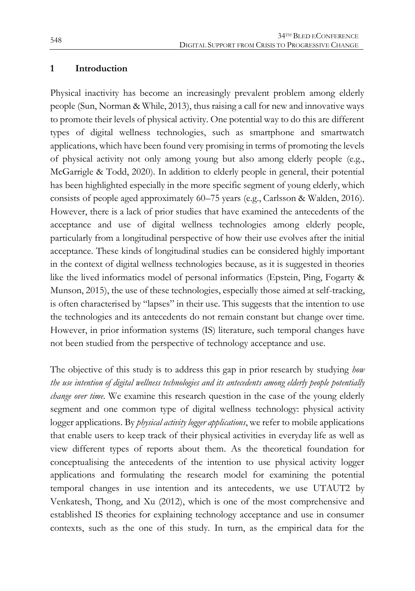#### **1 Introduction**

Physical inactivity has become an increasingly prevalent problem among elderly people (Sun, Norman & While, 2013), thus raising a call for new and innovative ways to promote their levels of physical activity. One potential way to do this are different types of digital wellness technologies, such as smartphone and smartwatch applications, which have been found very promising in terms of promoting the levels of physical activity not only among young but also among elderly people (e.g., McGarrigle & Todd, 2020). In addition to elderly people in general, their potential has been highlighted especially in the more specific segment of young elderly, which consists of people aged approximately 60–75 years (e.g., Carlsson & Walden, 2016). However, there is a lack of prior studies that have examined the antecedents of the acceptance and use of digital wellness technologies among elderly people, particularly from a longitudinal perspective of how their use evolves after the initial acceptance. These kinds of longitudinal studies can be considered highly important in the context of digital wellness technologies because, as it is suggested in theories like the lived informatics model of personal informatics (Epstein, Ping, Fogarty & Munson, 2015), the use of these technologies, especially those aimed at self-tracking, is often characterised by "lapses" in their use. This suggests that the intention to use the technologies and its antecedents do not remain constant but change over time. However, in prior information systems (IS) literature, such temporal changes have not been studied from the perspective of technology acceptance and use.

The objective of this study is to address this gap in prior research by studying *how the use intention of digital wellness technologies and its antecedents among elderly people potentially change over time*. We examine this research question in the case of the young elderly segment and one common type of digital wellness technology: physical activity logger applications. By *physical activity logger applications*, we refer to mobile applications that enable users to keep track of their physical activities in everyday life as well as view different types of reports about them. As the theoretical foundation for conceptualising the antecedents of the intention to use physical activity logger applications and formulating the research model for examining the potential temporal changes in use intention and its antecedents, we use UTAUT2 by Venkatesh, Thong, and Xu (2012), which is one of the most comprehensive and established IS theories for explaining technology acceptance and use in consumer contexts, such as the one of this study. In turn, as the empirical data for the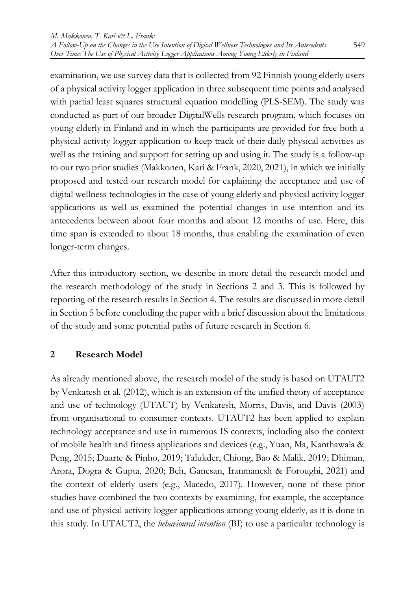examination, we use survey data that is collected from 92 Finnish young elderly users of a physical activity logger application in three subsequent time points and analysed with partial least squares structural equation modelling (PLS-SEM). The study was conducted as part of our broader DigitalWells research program, which focuses on young elderly in Finland and in which the participants are provided for free both a physical activity logger application to keep track of their daily physical activities as well as the training and support for setting up and using it. The study is a follow-up to our two prior studies (Makkonen, Kari & Frank, 2020, 2021), in which we initially proposed and tested our research model for explaining the acceptance and use of digital wellness technologies in the case of young elderly and physical activity logger applications as well as examined the potential changes in use intention and its antecedents between about four months and about 12 months of use. Here, this time span is extended to about 18 months, thus enabling the examination of even longer-term changes.

After this introductory section, we describe in more detail the research model and the research methodology of the study in Sections 2 and 3. This is followed by reporting of the research results in Section 4. The results are discussed in more detail in Section 5 before concluding the paper with a brief discussion about the limitations of the study and some potential paths of future research in Section 6.

# **2 Research Model**

As already mentioned above, the research model of the study is based on UTAUT2 by Venkatesh et al. (2012), which is an extension of the unified theory of acceptance and use of technology (UTAUT) by Venkatesh, Morris, Davis, and Davis (2003) from organisational to consumer contexts. UTAUT2 has been applied to explain technology acceptance and use in numerous IS contexts, including also the context of mobile health and fitness applications and devices (e.g., Yuan, Ma, Kanthawala & Peng, 2015; Duarte & Pinho, 2019; Talukder, Chiong, Bao & Malik, 2019; Dhiman, Arora, Dogra & Gupta, 2020; Beh, Ganesan, Iranmanesh & Foroughi, 2021) and the context of elderly users (e.g., Macedo, 2017). However, none of these prior studies have combined the two contexts by examining, for example, the acceptance and use of physical activity logger applications among young elderly, as it is done in this study. In UTAUT2, the *behavioural intention* (BI) to use a particular technology is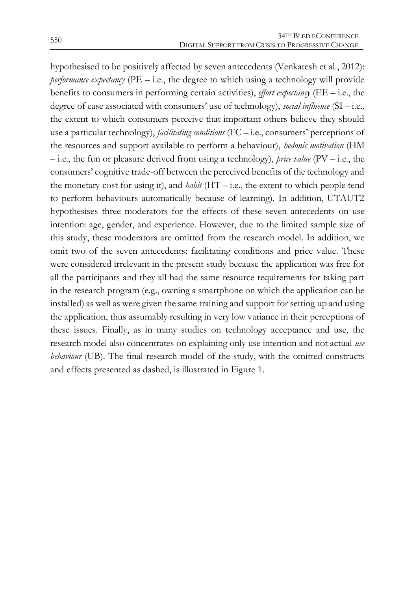hypothesised to be positively affected by seven antecedents (Venkatesh et al., 2012): *performance expectancy* (PE – i.e., the degree to which using a technology will provide benefits to consumers in performing certain activities), *effort expectancy* (EE – i.e., the degree of ease associated with consumers' use of technology), *social influence* (SI – i.e., the extent to which consumers perceive that important others believe they should use a particular technology), *facilitating conditions* (FC – i.e., consumers' perceptions of the resources and support available to perform a behaviour), *hedonic motivation* (HM – i.e., the fun or pleasure derived from using a technology), *price value* (PV – i.e., the consumers' cognitive trade-off between the perceived benefits of the technology and the monetary cost for using it), and *habit* (HT – i.e., the extent to which people tend to perform behaviours automatically because of learning). In addition, UTAUT2 hypothesises three moderators for the effects of these seven antecedents on use intention: age, gender, and experience. However, due to the limited sample size of this study, these moderators are omitted from the research model. In addition, we omit two of the seven antecedents: facilitating conditions and price value. These were considered irrelevant in the present study because the application was free for all the participants and they all had the same resource requirements for taking part in the research program (e.g., owning a smartphone on which the application can be installed) as well as were given the same training and support for setting up and using the application, thus assumably resulting in very low variance in their perceptions of these issues. Finally, as in many studies on technology acceptance and use, the research model also concentrates on explaining only use intention and not actual *use behaviour* (UB). The final research model of the study, with the omitted constructs and effects presented as dashed, is illustrated in Figure 1.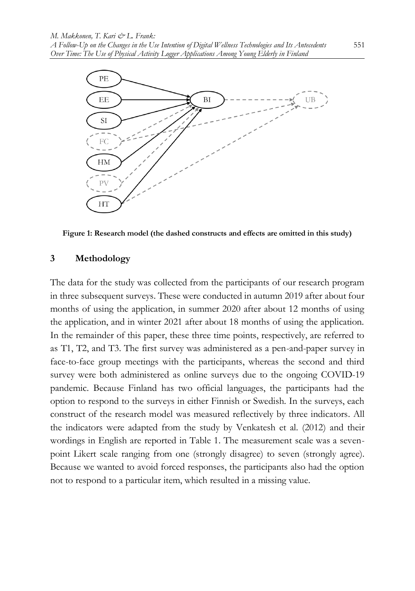

**Figure 1: Research model (the dashed constructs and effects are omitted in this study)**

#### **3 Methodology**

The data for the study was collected from the participants of our research program in three subsequent surveys. These were conducted in autumn 2019 after about four months of using the application, in summer 2020 after about 12 months of using the application, and in winter 2021 after about 18 months of using the application. In the remainder of this paper, these three time points, respectively, are referred to as T1, T2, and T3. The first survey was administered as a pen-and-paper survey in face-to-face group meetings with the participants, whereas the second and third survey were both administered as online surveys due to the ongoing COVID-19 pandemic. Because Finland has two official languages, the participants had the option to respond to the surveys in either Finnish or Swedish. In the surveys, each construct of the research model was measured reflectively by three indicators. All the indicators were adapted from the study by Venkatesh et al. (2012) and their wordings in English are reported in Table 1. The measurement scale was a sevenpoint Likert scale ranging from one (strongly disagree) to seven (strongly agree). Because we wanted to avoid forced responses, the participants also had the option not to respond to a particular item, which resulted in a missing value.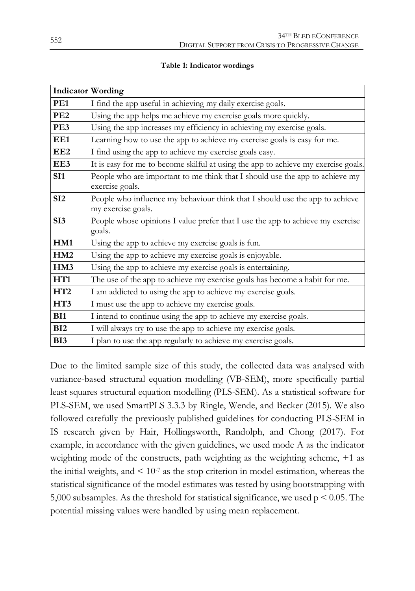|  |  | Table 1: Indicator wordings |
|--|--|-----------------------------|
|--|--|-----------------------------|

|                 | <b>Indicator Wording</b>                                                                           |
|-----------------|----------------------------------------------------------------------------------------------------|
| PE <sub>1</sub> | I find the app useful in achieving my daily exercise goals.                                        |
| PE <sub>2</sub> | Using the app helps me achieve my exercise goals more quickly.                                     |
| PE3             | Using the app increases my efficiency in achieving my exercise goals.                              |
| EE1             | Learning how to use the app to achieve my exercise goals is easy for me.                           |
| EE <sub>2</sub> | I find using the app to achieve my exercise goals easy.                                            |
| EE3             | It is easy for me to become skilful at using the app to achieve my exercise goals.                 |
| SI1             | People who are important to me think that I should use the app to achieve my<br>exercise goals.    |
| SI <sub>2</sub> | People who influence my behaviour think that I should use the app to achieve<br>my exercise goals. |
| SI <sub>3</sub> | People whose opinions I value prefer that I use the app to achieve my exercise<br>goals.           |
| HM1             | Using the app to achieve my exercise goals is fun.                                                 |
| HM2             | Using the app to achieve my exercise goals is enjoyable.                                           |
| HM3             | Using the app to achieve my exercise goals is entertaining.                                        |
| HT <sub>1</sub> | The use of the app to achieve my exercise goals has become a habit for me.                         |
| HT2             | I am addicted to using the app to achieve my exercise goals.                                       |
| HT3             | I must use the app to achieve my exercise goals.                                                   |
| BI1             | I intend to continue using the app to achieve my exercise goals.                                   |
| BI2             | I will always try to use the app to achieve my exercise goals.                                     |
| BI3             | I plan to use the app regularly to achieve my exercise goals.                                      |

Due to the limited sample size of this study, the collected data was analysed with variance-based structural equation modelling (VB-SEM), more specifically partial least squares structural equation modelling (PLS-SEM). As a statistical software for PLS-SEM, we used SmartPLS 3.3.3 by Ringle, Wende, and Becker (2015). We also followed carefully the previously published guidelines for conducting PLS-SEM in IS research given by Hair, Hollingsworth, Randolph, and Chong (2017). For example, in accordance with the given guidelines, we used mode A as the indicator weighting mode of the constructs, path weighting as the weighting scheme, +1 as the initial weights, and  $\leq 10^{-7}$  as the stop criterion in model estimation, whereas the statistical significance of the model estimates was tested by using bootstrapping with 5,000 subsamples. As the threshold for statistical significance, we used  $p \le 0.05$ . The potential missing values were handled by using mean replacement.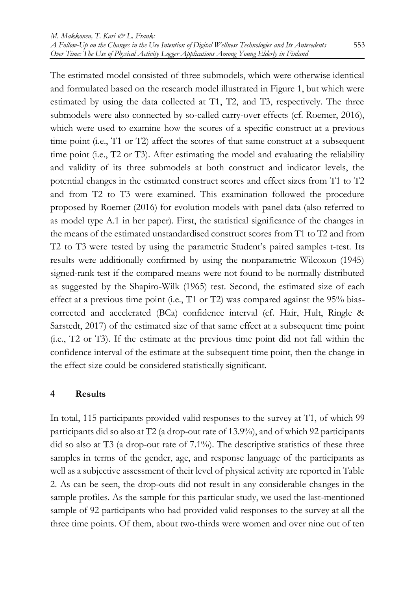The estimated model consisted of three submodels, which were otherwise identical and formulated based on the research model illustrated in Figure 1, but which were estimated by using the data collected at T1, T2, and T3, respectively. The three submodels were also connected by so-called carry-over effects (cf. Roemer, 2016), which were used to examine how the scores of a specific construct at a previous time point (i.e., T1 or T2) affect the scores of that same construct at a subsequent time point (i.e., T2 or T3). After estimating the model and evaluating the reliability and validity of its three submodels at both construct and indicator levels, the potential changes in the estimated construct scores and effect sizes from T1 to T2 and from T2 to T3 were examined. This examination followed the procedure proposed by Roemer (2016) for evolution models with panel data (also referred to as model type A.1 in her paper). First, the statistical significance of the changes in the means of the estimated unstandardised construct scores from T1 to T2 and from T2 to T3 were tested by using the parametric Student's paired samples t-test. Its results were additionally confirmed by using the nonparametric Wilcoxon (1945) signed-rank test if the compared means were not found to be normally distributed as suggested by the Shapiro-Wilk (1965) test. Second, the estimated size of each effect at a previous time point (i.e., T1 or T2) was compared against the 95% biascorrected and accelerated (BCa) confidence interval (cf. Hair, Hult, Ringle & Sarstedt, 2017) of the estimated size of that same effect at a subsequent time point (i.e., T2 or T3). If the estimate at the previous time point did not fall within the confidence interval of the estimate at the subsequent time point, then the change in the effect size could be considered statistically significant.

#### **4 Results**

In total, 115 participants provided valid responses to the survey at T1, of which 99 participants did so also at T2 (a drop-out rate of 13.9%), and of which 92 participants did so also at T3 (a drop-out rate of 7.1%). The descriptive statistics of these three samples in terms of the gender, age, and response language of the participants as well as a subjective assessment of their level of physical activity are reported in Table 2. As can be seen, the drop-outs did not result in any considerable changes in the sample profiles. As the sample for this particular study, we used the last-mentioned sample of 92 participants who had provided valid responses to the survey at all the three time points. Of them, about two-thirds were women and over nine out of ten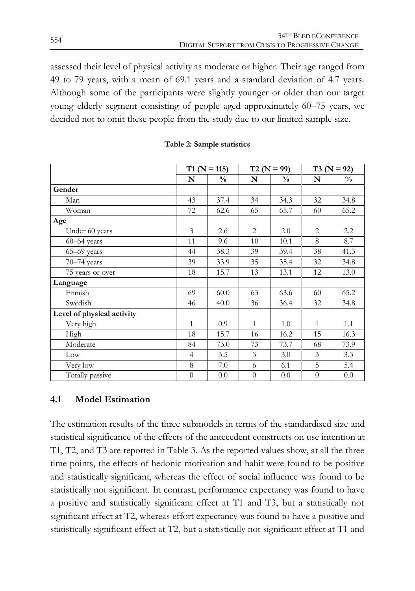assessed their level of physical activity as moderate or higher. Their age ranged from 49 to 79 years, with a mean of 69.1 years and a standard deviation of 4.7 years. Although some of the participants were slightly younger or older than our target young elderly segment consisting of people aged approximately 60–75 years, we decided not to omit these people from the study due to our limited sample size.

|                            |                | $T1(N = 115)$ |                | $T2 (N = 99)$ |                | $T3 (N = 92)$ |
|----------------------------|----------------|---------------|----------------|---------------|----------------|---------------|
|                            | N              | $\frac{0}{0}$ | N              | $\frac{0}{0}$ | N              | $\frac{0}{0}$ |
| Gender                     |                |               |                |               |                |               |
| Man                        | 43             | 37.4          | 34             | 34.3          | 32             | 34.8          |
| Woman                      | 72             | 62.6          | 65             | 65.7          | 60             | 65.2          |
| Age                        |                |               |                |               |                |               |
| Under 60 years             | 3              | 2.6           | 2              | 2.0           | 2              | 2.2           |
| $60 - 64$ years            | 11             | 9.6           | 10             | 10.1          | 8              | 8.7           |
| 65-69 years                | 44             | 38.3          | 39             | 39.4          | 38             | 41.3          |
| 70-74 years                | 39             | 33.9          | 35             | 35.4          | 32             | 34.8          |
| 75 years or over           | 18             | 15.7          | 13             | 13.1          | 12             | 13.0          |
| Language                   |                |               |                |               |                |               |
| Finnish                    | 69             | 60.0          | 63             | 63.6          | 60             | 65.2          |
| Swedish                    | 46             | 40.0          | 36             | 36.4          | 32             | 34.8          |
| Level of physical activity |                |               |                |               |                |               |
| Very high                  | 1              | 0.9           | $\mathbf{1}$   | 1.0           | 1              | 1.1           |
| High                       | 18             | 15.7          | 16             | 16.2          | 15             | 16.3          |
| Moderate                   | 84             | 73.0          | 73             | 73.7          | 68             | 73.9          |
| Low                        | $\overline{4}$ | 3.5           | 3              | 3.0           | 3              | 3.3           |
| Very low                   | 8              | 7.0           | 6              | 6.1           | 5              | 5.4           |
| Totally passive            | $\theta$       | 0.0           | $\overline{0}$ | 0.0           | $\overline{0}$ | 0.0           |

#### **Table 2: Sample statistics**

#### **4.1 Model Estimation**

The estimation results of the three submodels in terms of the standardised size and statistical significance of the effects of the antecedent constructs on use intention at T1, T2, and T3 are reported in Table 3. As the reported values show, at all the three time points, the effects of hedonic motivation and habit were found to be positive and statistically significant, whereas the effect of social influence was found to be statistically not significant. In contrast, performance expectancy was found to have a positive and statistically significant effect at T1 and T3, but a statistically not significant effect at T2, whereas effort expectancy was found to have a positive and statistically significant effect at T2, but a statistically not significant effect at T1 and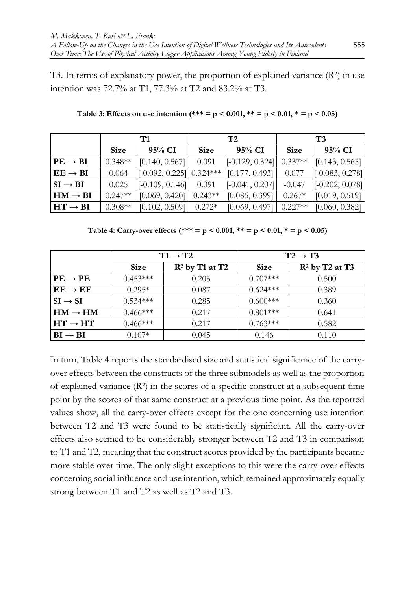T3. In terms of explanatory power, the proportion of explained variance  $(R^2)$  in use intention was 72.7% at T1, 77.3% at T2 and 83.2% at T3.

|                        |             | T1                         |             | T2                |             | T3                |
|------------------------|-------------|----------------------------|-------------|-------------------|-------------|-------------------|
|                        | <b>Size</b> | $95\%$ CI                  | <b>Size</b> | 95% CI            | <b>Size</b> | 95% CI            |
| $PE \rightarrow BI$    | $0.348**$   | [0.140, 0.567]             | 0.091       | $[-0.129, 0.324]$ | $0.337**$   | [0.143, 0.565]    |
| $EE \rightarrow BI$    | 0.064       | $[-0.092, 0.225]$ 0.324*** |             | [0.177, 0.493]    | 0.077       | $[-0.083, 0.278]$ |
| $SI \rightarrow BI$    | 0.025       | $\vert$ [-0.109, 0.146]]   | 0.091       | $[-0.041, 0.207]$ | $-0.047$    | $[-0.202, 0.078]$ |
| $HM \rightarrow BI$    | $0.247**$   | [0.069, 0.420]             | $0.243**$   | [0.085, 0.399]    | $0.267*$    | [0.019, 0.519]    |
| $H$ T $\rightarrow$ BI | $0.308**$   | [0.102, 0.509]             | $0.272*$    | [0.069, 0.497]    | $0.227**$   | [0.060, 0.382]    |

Table 3: Effects on use intention  $(*** = p < 0.001, ** = p < 0.01, * = p < 0.05)$ 

**Table 4: Carry-over effects (\*\*\* = p < 0.001, \*\* = p < 0.01, \* = p < 0.05)**

|                     |             | $T1 \rightarrow T2$ |             | $T2 \rightarrow T3$ |
|---------------------|-------------|---------------------|-------------|---------------------|
|                     | <b>Size</b> | $R^2$ by T1 at T2   | <b>Size</b> | $R^2$ by T2 at T3   |
| $PE \rightarrow PE$ | $0.453***$  | 0.205               | $0.707***$  | 0.500               |
| $EE \rightarrow EE$ | $0.295*$    | 0.087               | $0.624***$  | 0.389               |
| $SI \rightarrow SI$ | $0.534***$  | 0.285               | $0.600***$  | 0.360               |
| $HM \rightarrow HM$ | $0.466***$  | 0.217               | $0.801***$  | 0.641               |
| $HT \rightarrow HT$ | $0.466***$  | 0.217               | $0.763***$  | 0.582               |
| $BI \rightarrow BI$ | $0.107*$    | 0.045               | 0.146       | 0.110               |

In turn, Table 4 reports the standardised size and statistical significance of the carryover effects between the constructs of the three submodels as well as the proportion of explained variance  $(R^2)$  in the scores of a specific construct at a subsequent time point by the scores of that same construct at a previous time point. As the reported values show, all the carry-over effects except for the one concerning use intention between T2 and T3 were found to be statistically significant. All the carry-over effects also seemed to be considerably stronger between T2 and T3 in comparison to T1 and T2, meaning that the construct scores provided by the participants became more stable over time. The only slight exceptions to this were the carry-over effects concerning social influence and use intention, which remained approximately equally strong between T1 and T2 as well as T2 and T3.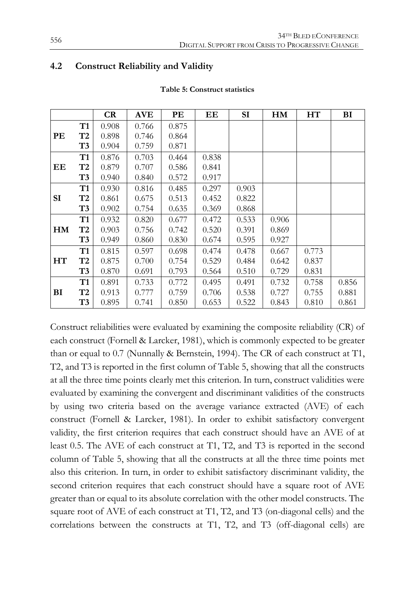#### **4.2 Construct Reliability and Validity**

|    |                | CR    | <b>AVE</b> | PE    | EE    | SI    | <b>HM</b> | HT    | BI    |
|----|----------------|-------|------------|-------|-------|-------|-----------|-------|-------|
|    | <b>T1</b>      | 0.908 | 0.766      | 0.875 |       |       |           |       |       |
| PE | T2             | 0.898 | 0.746      | 0.864 |       |       |           |       |       |
|    | T3             | 0.904 | 0.759      | 0.871 |       |       |           |       |       |
|    | T1             | 0.876 | 0.703      | 0.464 | 0.838 |       |           |       |       |
| EЕ | T2             | 0.879 | 0.707      | 0.586 | 0.841 |       |           |       |       |
|    | T3             | 0.940 | 0.840      | 0.572 | 0.917 |       |           |       |       |
|    | <b>T1</b>      | 0.930 | 0.816      | 0.485 | 0.297 | 0.903 |           |       |       |
| SI | T2             | 0.861 | 0.675      | 0.513 | 0.452 | 0.822 |           |       |       |
|    | T3             | 0.902 | 0.754      | 0.635 | 0.369 | 0.868 |           |       |       |
|    | T1             | 0.932 | 0.820      | 0.677 | 0.472 | 0.533 | 0.906     |       |       |
| HM | T2             | 0.903 | 0.756      | 0.742 | 0.520 | 0.391 | 0.869     |       |       |
|    | T3             | 0.949 | 0.860      | 0.830 | 0.674 | 0.595 | 0.927     |       |       |
|    | T <sub>1</sub> | 0.815 | 0.597      | 0.698 | 0.474 | 0.478 | 0.667     | 0.773 |       |
| HT | T2             | 0.875 | 0.700      | 0.754 | 0.529 | 0.484 | 0.642     | 0.837 |       |
|    | T3             | 0.870 | 0.691      | 0.793 | 0.564 | 0.510 | 0.729     | 0.831 |       |
|    | T1             | 0.891 | 0.733      | 0.772 | 0.495 | 0.491 | 0.732     | 0.758 | 0.856 |
| BI | T2             | 0.913 | 0.777      | 0.759 | 0.706 | 0.538 | 0.727     | 0.755 | 0.881 |
|    | T3             | 0.895 | 0.741      | 0.850 | 0.653 | 0.522 | 0.843     | 0.810 | 0.861 |

#### **Table 5: Construct statistics**

Construct reliabilities were evaluated by examining the composite reliability (CR) of each construct (Fornell & Larcker, 1981), which is commonly expected to be greater than or equal to 0.7 (Nunnally & Bernstein, 1994). The CR of each construct at T1, T2, and T3 is reported in the first column of Table 5, showing that all the constructs at all the three time points clearly met this criterion. In turn, construct validities were evaluated by examining the convergent and discriminant validities of the constructs by using two criteria based on the average variance extracted (AVE) of each construct (Fornell & Larcker, 1981). In order to exhibit satisfactory convergent validity, the first criterion requires that each construct should have an AVE of at least 0.5. The AVE of each construct at T1, T2, and T3 is reported in the second column of Table 5, showing that all the constructs at all the three time points met also this criterion. In turn, in order to exhibit satisfactory discriminant validity, the second criterion requires that each construct should have a square root of AVE greater than or equal to its absolute correlation with the other model constructs. The square root of AVE of each construct at T1, T2, and T3 (on-diagonal cells) and the correlations between the constructs at T1, T2, and T3 (off-diagonal cells) are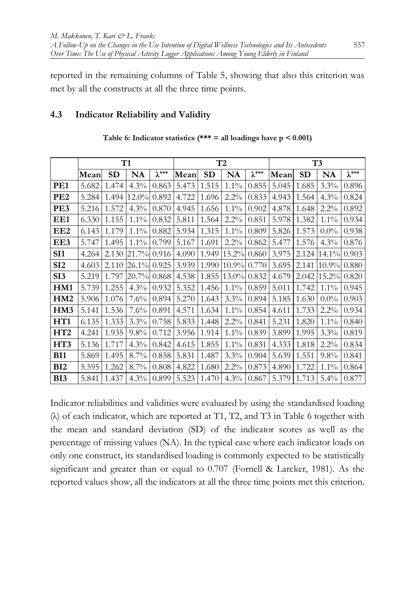reported in the remaining columns of Table 5, showing that also this criterion was met by all the constructs at all the three time points.

### **4.3 Indicator Reliability and Validity**

|                 |       |       | T1       |                 |       |           | T2       |                 | T <sub>3</sub> |           |          |                 |
|-----------------|-------|-------|----------|-----------------|-------|-----------|----------|-----------------|----------------|-----------|----------|-----------------|
|                 | Mean  | SD    | NA       | $\lambda^{***}$ | Mean  | <b>SD</b> | NA       | $\lambda^{***}$ | Mean           | <b>SD</b> | NA       | $\lambda^{***}$ |
| PE1             | 5.682 | 1.474 | $4.3\%$  | 0.863           | 5.473 | 1.515     | $1.1\%$  | 0.855           | 5.045          | 1.685     | 3.3%     | 0.896           |
| PE <sub>2</sub> | 5.284 | 1.494 | $12.0\%$ | 0.892           | 4.722 | 1.696     | 2.2%     | 0.833           | 4.943          | 1.564     | 4.3%     | 0.824           |
| PE3             | 5.216 | 1.572 | $4.3\%$  | 0.870           | 4.945 | 1.656     | $1.1\%$  | 0.902           | 4.878          | 1.648     | 2.2%     | 0.892           |
| EE1             | 6.330 | 1.155 | $1.1\%$  | 0.832           | 5.811 | 1.564     | 2.2%     | 0.851           | 5.978          | 1.382     | $1.1\%$  | 0.934           |
| EE <sub>2</sub> | 6.143 | 1.179 | $1.1\%$  | 0.882           | 5.934 | 1.315     | 1.1%     | 0.809           | 5.826          | 1.573     | $0.0\%$  | 0.938           |
| EE3             | 5.747 | 1.495 | $1.1\%$  | 0.799           | 5.167 | 1.691     | 2.2%     | 0.862           | 5.477          | 1.576     | 4.3%     | 0.876           |
| SI <sub>1</sub> | 4.264 | 2.130 | 21.7%    | 0.916           | 4.090 | 1.949     | 15.2%    | 0.860           | 3.975          | 2.124     | $14.1\%$ | 0.903           |
| SI2             | 4.603 | 2.110 | $26.1\%$ | 0.925           | 3.939 | 1.990     | 10.9%    | 0.770           | 3.695          | 2.141     | $10.9\%$ | 0.880           |
| SI <sub>3</sub> | 5.219 | 1.797 | 20.7%    | 0.868           | 4.538 | 1.855     | $13.0\%$ | 0.832           | 4.679          | 2.042     | $15.2\%$ | 0.820           |
| HM1             | 5.739 | 1.255 | $4.3\%$  | 0.932           | 5.352 | 1.456     | $1.1\%$  | 0.859           | 5.011          | 1.742     | $1.1\%$  | 0.945           |
| HM <sub>2</sub> | 5.906 | 1.076 | 7.6%     | 0.894           | 5.270 | 1.643     | 3.3%     | 0.894           | 5.185          | 1.630     | $0.0\%$  | 0.903           |
| HM3             | 5.141 | 1.536 | 7.6%     | 0.891           | 4.571 | 1.634     | $1.1\%$  | 0.854           | 4.611          | 1.733     | 2.2%     | 0.934           |
| HT <sub>1</sub> | 6.135 | 1.333 | 3.3%     | 0.758           | 5.833 | 1.448     | 2.2%     | 0.841           | 5.231          | 1.820     | $1.1\%$  | 0.840           |
| HT2             | 4.241 | 1.935 | 9.8%     | 0.712           | 3.956 | 1.914     | $1.1\%$  | 0.839           | 3.899          | 1.995     | 3.3%     | 0.819           |
| HT3             | 5.136 | 1.717 | $4.3\%$  | 0.842           | 4.615 | 1.855     | $1.1\%$  | 0.831           | 4.333          | 1.818     | 2.2%     | 0.834           |
| BI1             | 5.869 | 1.495 | 8.7%     | 0.858           | 5.831 | 1.487     | 3.3%     | 0.904           | 5.639          | 1.551     | 9.8%     | 0.841           |
| BI <sub>2</sub> | 5.595 | 1.262 | 8.7%     | 0.808           | 4.822 | 1.680     | 2.2%     | 0.873           | 4.890          | 1.722     | $1.1\%$  | 0.864           |
| BI3             | 5.841 | 1.437 | 4.3%     | 0.899           | 5.523 | 1.470     | 4.3%     | 0.867           | 5.379          | 1.713     | 5.4%     | 0.877           |

| Table 6: Indicator statistics (*** = all loadings have $p < 0.001$ ) |  |  |  |  |  |  |  |  |
|----------------------------------------------------------------------|--|--|--|--|--|--|--|--|
|----------------------------------------------------------------------|--|--|--|--|--|--|--|--|

Indicator reliabilities and validities were evaluated by using the standardised loading (λ) of each indicator, which are reported at T1, T2, and T3 in Table 6 together with the mean and standard deviation (SD) of the indicator scores as well as the percentage of missing values (NA). In the typical case where each indicator loads on only one construct, its standardised loading is commonly expected to be statistically significant and greater than or equal to 0.707 (Fornell & Larcker, 1981). As the reported values show, all the indicators at all the three time points met this criterion.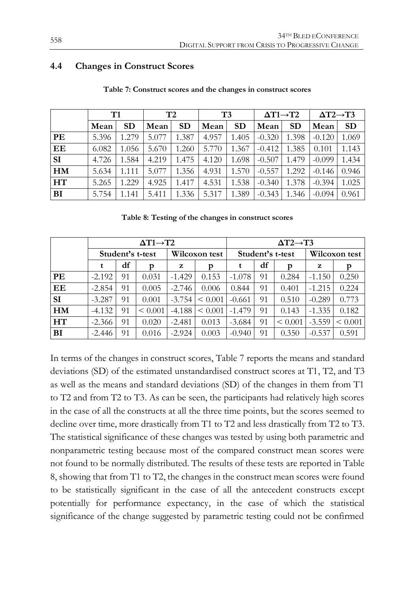#### **4.4 Changes in Construct Scores**

|           | T1    |           | T <sub>2</sub> |           | T <sub>3</sub> |           | $\Delta T1 \rightarrow T2$ |           | $\Delta$ T2 $\rightarrow$ T3 |           |
|-----------|-------|-----------|----------------|-----------|----------------|-----------|----------------------------|-----------|------------------------------|-----------|
|           | Mean  | <b>SD</b> | Mean           | <b>SD</b> | Mean           | <b>SD</b> | Mean                       | <b>SD</b> | Mean                         | <b>SD</b> |
| PE        | 5.396 | 1.279     | 5.077          | 1.387     | 4.957          | 1.405     | $-0.320$                   | 1.398     | $-0.120$                     | 1.069     |
| EE        | 6.082 | 1.056     | 5.670          | 1.260     | 5.770          | 1.367     | $-0.412$                   | 1.385     | 0.101                        | 1.143     |
| <b>SI</b> | 4.726 | 1.584     | 4.219          | 1.475     | 4.120          | 1.698     | $-0.507$                   | 1.479     | $-0.099$                     | 1.434     |
| HM        | 5.634 | 1.111     | 5.077          | 1.356     | 4.931          | 1.570     | $-0.557$                   | 1.292     | $-0.146$                     | 0.946     |
| <b>HT</b> | 5.265 | 1.229     | 4.925          | 1.417     | 4.531          | 1.538     | $-0.340$                   | 1.378     | $-0.394$                     | 1.025     |
| BI        | 5.754 | 1.141     | 5.411          | 1.336     | 5.317          | 1.389     | $-0.343$                   | 1.346     | $-0.094$                     | 0.961     |

**Table 7: Construct scores and the changes in construct scores**

**Table 8: Testing of the changes in construct scores**

|           |          |    | $\Delta T1 \rightarrow T2$ |               |         | $\Delta$ T2 $\rightarrow$ T3 |                  |               |          |              |  |
|-----------|----------|----|----------------------------|---------------|---------|------------------------------|------------------|---------------|----------|--------------|--|
|           |          |    | Student's t-test           | Wilcoxon test |         |                              | Student's t-test | Wilcoxon test |          |              |  |
|           | t        | df | р                          | z             | p       |                              | df               | р             | z        | p            |  |
| PE        | $-2.192$ | 91 | 0.031                      | $-1.429$      | 0.153   | $-1.078$                     | 91               | 0.284         | $-1.150$ | 0.250        |  |
| EE        | $-2.854$ | 91 | 0.005                      | $-2.746$      | 0.006   | 0.844                        | 91               | 0.401         | $-1.215$ | 0.224        |  |
| <b>SI</b> | $-3.287$ | 91 | 0.001                      | $-3.754$      | < 0.001 | $-0.661$                     | 91               | 0.510         | $-0.289$ | 0.773        |  |
| <b>HM</b> | $-4.132$ | 91 | ${}_{0.001}$               | $-4.188$      | < 0.001 | $-1.479$                     | 91               | 0.143         | $-1.335$ | 0.182        |  |
| HT        | $-2.366$ | 91 | 0.020                      | $-2.481$      | 0.013   | $-3.684$                     | 91               | < 0.001       | $-3.559$ | $\leq 0.001$ |  |
| <b>BI</b> | $-2.446$ | 91 | 0.016                      | $-2.924$      | 0.003   | $-0.940$                     | 91               | 0.350         | $-0.537$ | 0.591        |  |

In terms of the changes in construct scores, Table 7 reports the means and standard deviations (SD) of the estimated unstandardised construct scores at T1, T2, and T3 as well as the means and standard deviations (SD) of the changes in them from T1 to T2 and from T2 to T3. As can be seen, the participants had relatively high scores in the case of all the constructs at all the three time points, but the scores seemed to decline over time, more drastically from T1 to T2 and less drastically from T2 to T3. The statistical significance of these changes was tested by using both parametric and nonparametric testing because most of the compared construct mean scores were not found to be normally distributed. The results of these tests are reported in Table 8, showing that from T1 to T2, the changes in the construct mean scores were found to be statistically significant in the case of all the antecedent constructs except potentially for performance expectancy, in the case of which the statistical significance of the change suggested by parametric testing could not be confirmed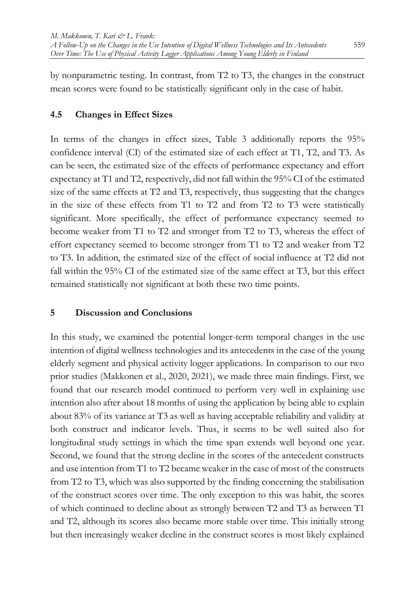by nonparametric testing. In contrast, from T2 to T3, the changes in the construct mean scores were found to be statistically significant only in the case of habit.

## **4.5 Changes in Effect Sizes**

In terms of the changes in effect sizes, Table 3 additionally reports the 95% confidence interval (CI) of the estimated size of each effect at T1, T2, and T3. As can be seen, the estimated size of the effects of performance expectancy and effort expectancy at T1 and T2, respectively, did not fall within the 95% CI of the estimated size of the same effects at T2 and T3, respectively, thus suggesting that the changes in the size of these effects from T1 to T2 and from T2 to T3 were statistically significant. More specifically, the effect of performance expectancy seemed to become weaker from T1 to T2 and stronger from T2 to T3, whereas the effect of effort expectancy seemed to become stronger from T1 to T2 and weaker from T2 to T3. In addition, the estimated size of the effect of social influence at T2 did not fall within the 95% CI of the estimated size of the same effect at T3, but this effect remained statistically not significant at both these two time points.

# **5 Discussion and Conclusions**

In this study, we examined the potential longer-term temporal changes in the use intention of digital wellness technologies and its antecedents in the case of the young elderly segment and physical activity logger applications. In comparison to our two prior studies (Makkonen et al., 2020, 2021), we made three main findings. First, we found that our research model continued to perform very well in explaining use intention also after about 18 months of using the application by being able to explain about 83% of its variance at T3 as well as having acceptable reliability and validity at both construct and indicator levels. Thus, it seems to be well suited also for longitudinal study settings in which the time span extends well beyond one year. Second, we found that the strong decline in the scores of the antecedent constructs and use intention from T1 to T2 became weaker in the case of most of the constructs from T2 to T3, which was also supported by the finding concerning the stabilisation of the construct scores over time. The only exception to this was habit, the scores of which continued to decline about as strongly between T2 and T3 as between T1 and T2, although its scores also became more stable over time. This initially strong but then increasingly weaker decline in the construct scores is most likely explained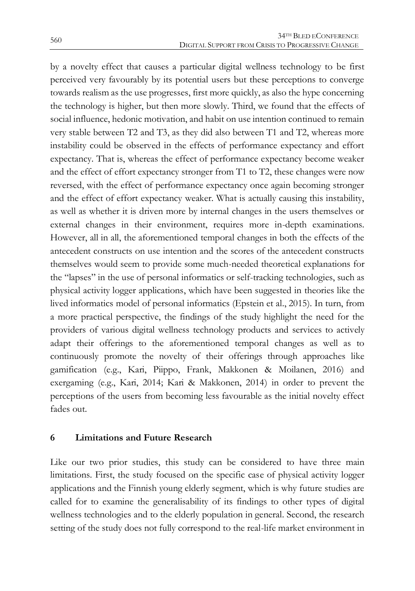by a novelty effect that causes a particular digital wellness technology to be first perceived very favourably by its potential users but these perceptions to converge towards realism as the use progresses, first more quickly, as also the hype concerning the technology is higher, but then more slowly. Third, we found that the effects of social influence, hedonic motivation, and habit on use intention continued to remain very stable between T2 and T3, as they did also between T1 and T2, whereas more instability could be observed in the effects of performance expectancy and effort expectancy. That is, whereas the effect of performance expectancy become weaker and the effect of effort expectancy stronger from T1 to T2, these changes were now reversed, with the effect of performance expectancy once again becoming stronger and the effect of effort expectancy weaker. What is actually causing this instability, as well as whether it is driven more by internal changes in the users themselves or external changes in their environment, requires more in-depth examinations. However, all in all, the aforementioned temporal changes in both the effects of the antecedent constructs on use intention and the scores of the antecedent constructs themselves would seem to provide some much-needed theoretical explanations for the "lapses" in the use of personal informatics or self-tracking technologies, such as physical activity logger applications, which have been suggested in theories like the lived informatics model of personal informatics (Epstein et al., 2015). In turn, from a more practical perspective, the findings of the study highlight the need for the providers of various digital wellness technology products and services to actively adapt their offerings to the aforementioned temporal changes as well as to continuously promote the novelty of their offerings through approaches like gamification (e.g., Kari, Piippo, Frank, Makkonen & Moilanen, 2016) and exergaming (e.g., Kari, 2014; Kari & Makkonen, 2014) in order to prevent the perceptions of the users from becoming less favourable as the initial novelty effect fades out.

#### **6 Limitations and Future Research**

Like our two prior studies, this study can be considered to have three main limitations. First, the study focused on the specific case of physical activity logger applications and the Finnish young elderly segment, which is why future studies are called for to examine the generalisability of its findings to other types of digital wellness technologies and to the elderly population in general. Second, the research setting of the study does not fully correspond to the real-life market environment in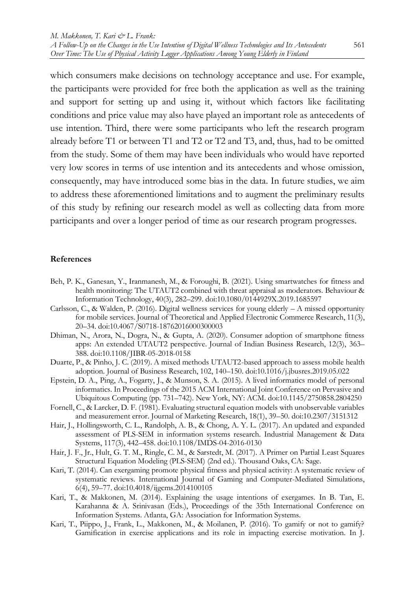which consumers make decisions on technology acceptance and use. For example, the participants were provided for free both the application as well as the training and support for setting up and using it, without which factors like facilitating conditions and price value may also have played an important role as antecedents of use intention. Third, there were some participants who left the research program already before T1 or between T1 and T2 or T2 and T3, and, thus, had to be omitted from the study. Some of them may have been individuals who would have reported very low scores in terms of use intention and its antecedents and whose omission, consequently, may have introduced some bias in the data. In future studies, we aim to address these aforementioned limitations and to augment the preliminary results of this study by refining our research model as well as collecting data from more participants and over a longer period of time as our research program progresses.

#### **References**

- Beh, P. K., Ganesan, Y., Iranmanesh, M., & Foroughi, B. (2021). Using smartwatches for fitness and health monitoring: The UTAUT2 combined with threat appraisal as moderators. Behaviour & Information Technology, 40(3), 282–299. doi:10.1080/0144929X.2019.1685597
- Carlsson, C., & Walden, P. (2016). Digital wellness services for young elderly  $A$  missed opportunity for mobile services. Journal of Theoretical and Applied Electronic Commerce Research, 11(3), 20–34. doi:10.4067/S0718-18762016000300003
- Dhiman, N., Arora, N., Dogra, N., & Gupta, A. (2020). Consumer adoption of smartphone fitness apps: An extended UTAUT2 perspective. Journal of Indian Business Research, 12(3), 363– 388. doi:10.1108/JIBR-05-2018-0158
- Duarte, P., & Pinho, J. C. (2019). A mixed methods UTAUT2-based approach to assess mobile health adoption. Journal of Business Research, 102, 140–150. doi:10.1016/j.jbusres.2019.05.022
- Epstein, D. A., Ping, A., Fogarty, J., & Munson, S. A. (2015). A lived informatics model of personal informatics. In Proceedings of the 2015 ACM International Joint Conference on Pervasive and Ubiquitous Computing (pp. 731–742). New York, NY: ACM. doi:10.1145/2750858.2804250
- Fornell, C., & Larcker, D. F. (1981). Evaluating structural equation models with unobservable variables and measurement error. Journal of Marketing Research, 18(1), 39–50. doi:10.2307/3151312
- Hair, J., Hollingsworth, C. L., Randolph, A. B., & Chong, A. Y. L. (2017). An updated and expanded assessment of PLS-SEM in information systems research. Industrial Management & Data Systems, 117(3), 442–458. doi:10.1108/IMDS-04-2016-0130
- Hair, J. F., Jr., Hult, G. T. M., Ringle, C. M., & Sarstedt, M. (2017). A Primer on Partial Least Squares Structural Equation Modeling (PLS-SEM) (2nd ed.). Thousand Oaks, CA: Sage.
- Kari, T. (2014). Can exergaming promote physical fitness and physical activity: A systematic review of systematic reviews. International Journal of Gaming and Computer-Mediated Simulations, 6(4), 59–77. doi:10.4018/ijgcms.2014100105
- Kari, T., & Makkonen, M. (2014). Explaining the usage intentions of exergames. In B. Tan, E. Karahanna & A. Srinivasan (Eds.), Proceedings of the 35th International Conference on Information Systems. Atlanta, GA: Association for Information Systems.
- Kari, T., Piippo, J., Frank, L., Makkonen, M., & Moilanen, P. (2016). To gamify or not to gamify? Gamification in exercise applications and its role in impacting exercise motivation. In J.